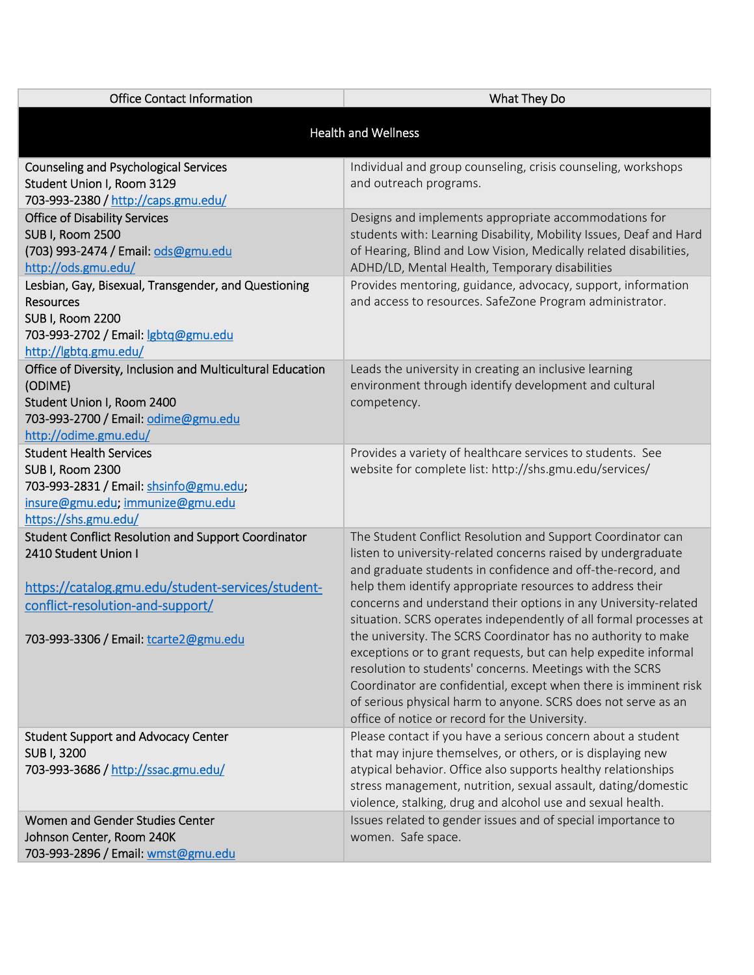| <b>Office Contact Information</b>                                                                                                                                                                                                                                          | What They Do                                                                                                                                                                                                                                                                                                                                                                                                                                                                                                                                                                                                                                                                                                                                                                            |  |
|----------------------------------------------------------------------------------------------------------------------------------------------------------------------------------------------------------------------------------------------------------------------------|-----------------------------------------------------------------------------------------------------------------------------------------------------------------------------------------------------------------------------------------------------------------------------------------------------------------------------------------------------------------------------------------------------------------------------------------------------------------------------------------------------------------------------------------------------------------------------------------------------------------------------------------------------------------------------------------------------------------------------------------------------------------------------------------|--|
| <b>Health and Wellness</b>                                                                                                                                                                                                                                                 |                                                                                                                                                                                                                                                                                                                                                                                                                                                                                                                                                                                                                                                                                                                                                                                         |  |
| <b>Counseling and Psychological Services</b><br>Student Union I, Room 3129<br>703-993-2380 / http://caps.gmu.edu/                                                                                                                                                          | Individual and group counseling, crisis counseling, workshops<br>and outreach programs.                                                                                                                                                                                                                                                                                                                                                                                                                                                                                                                                                                                                                                                                                                 |  |
| <b>Office of Disability Services</b><br><b>SUB I, Room 2500</b><br>(703) 993-2474 / Email: ods@gmu.edu<br>http://ods.gmu.edu/<br>Lesbian, Gay, Bisexual, Transgender, and Questioning<br><b>Resources</b><br>SUB I, Room 2200<br>703-993-2702 / Email: <i>sbtq@gmu.edu</i> | Designs and implements appropriate accommodations for<br>students with: Learning Disability, Mobility Issues, Deaf and Hard<br>of Hearing, Blind and Low Vision, Medically related disabilities,<br>ADHD/LD, Mental Health, Temporary disabilities<br>Provides mentoring, guidance, advocacy, support, information<br>and access to resources. SafeZone Program administrator.                                                                                                                                                                                                                                                                                                                                                                                                          |  |
| http://lgbtq.gmu.edu/<br>Office of Diversity, Inclusion and Multicultural Education<br>(ODIME)<br>Student Union I, Room 2400<br>703-993-2700 / Email: odime@gmu.edu<br>http://odime.gmu.edu/                                                                               | Leads the university in creating an inclusive learning<br>environment through identify development and cultural<br>competency.                                                                                                                                                                                                                                                                                                                                                                                                                                                                                                                                                                                                                                                          |  |
| <b>Student Health Services</b><br><b>SUB I, Room 2300</b><br>703-993-2831 / Email: shsinfo@gmu.edu;<br>insure@gmu.edu; immunize@gmu.edu<br>https://shs.gmu.edu/                                                                                                            | Provides a variety of healthcare services to students. See<br>website for complete list: http://shs.gmu.edu/services/                                                                                                                                                                                                                                                                                                                                                                                                                                                                                                                                                                                                                                                                   |  |
| <b>Student Conflict Resolution and Support Coordinator</b><br>2410 Student Union I<br>https://catalog.gmu.edu/student-services/student-<br>conflict-resolution-and-support/<br>703-993-3306 / Email: tcarte2@gmu.edu                                                       | The Student Conflict Resolution and Support Coordinator can<br>listen to university-related concerns raised by undergraduate<br>and graduate students in confidence and off-the-record, and<br>help them identify appropriate resources to address their<br>concerns and understand their options in any University-related<br>situation. SCRS operates independently of all formal processes at<br>the university. The SCRS Coordinator has no authority to make<br>exceptions or to grant requests, but can help expedite informal<br>resolution to students' concerns. Meetings with the SCRS<br>Coordinator are confidential, except when there is imminent risk<br>of serious physical harm to anyone. SCRS does not serve as an<br>office of notice or record for the University. |  |
| <b>Student Support and Advocacy Center</b><br>SUB I, 3200<br>703-993-3686 / http://ssac.gmu.edu/                                                                                                                                                                           | Please contact if you have a serious concern about a student<br>that may injure themselves, or others, or is displaying new<br>atypical behavior. Office also supports healthy relationships<br>stress management, nutrition, sexual assault, dating/domestic<br>violence, stalking, drug and alcohol use and sexual health.                                                                                                                                                                                                                                                                                                                                                                                                                                                            |  |
| Women and Gender Studies Center<br>Johnson Center, Room 240K<br>703-993-2896 / Email: wmst@gmu.edu                                                                                                                                                                         | Issues related to gender issues and of special importance to<br>women. Safe space.                                                                                                                                                                                                                                                                                                                                                                                                                                                                                                                                                                                                                                                                                                      |  |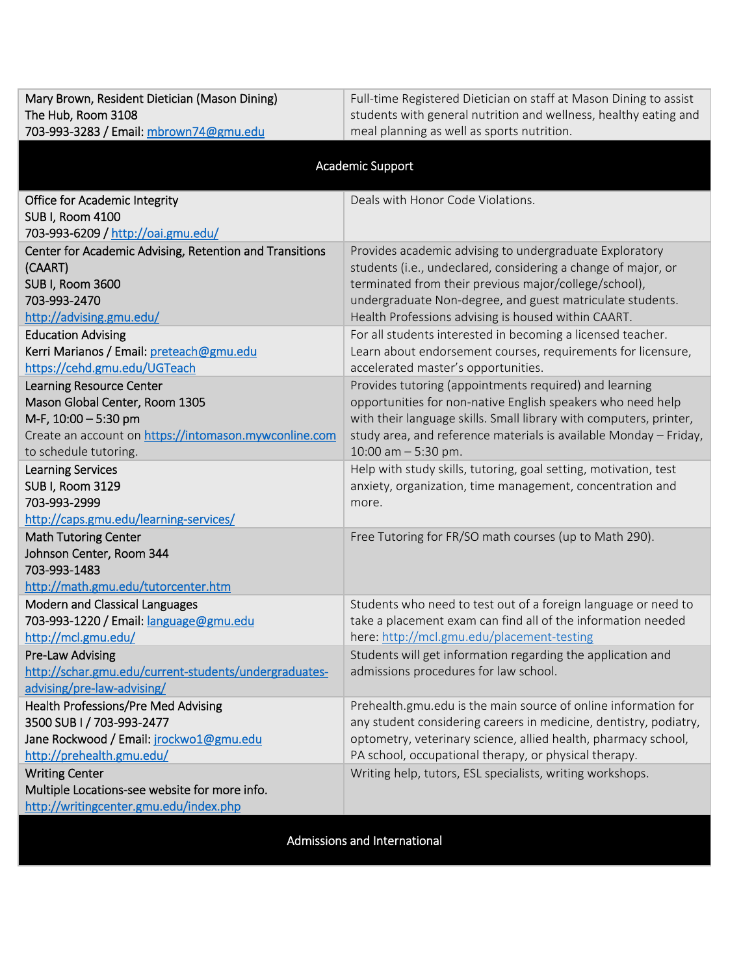| The Hub, Room 3108                                      | students with general nutrition and wellness, healthy eating and   |
|---------------------------------------------------------|--------------------------------------------------------------------|
| 703-993-3283 / Email: mbrown74@gmu.edu                  | meal planning as well as sports nutrition.                         |
|                                                         |                                                                    |
|                                                         | Academic Support                                                   |
| <b>Office for Academic Integrity</b>                    | Deals with Honor Code Violations.                                  |
| SUB I, Room 4100                                        |                                                                    |
| 703-993-6209 / http://oai.gmu.edu/                      |                                                                    |
| Center for Academic Advising, Retention and Transitions | Provides academic advising to undergraduate Exploratory            |
| (CAART)                                                 | students (i.e., undeclared, considering a change of major, or      |
| SUB I, Room 3600                                        | terminated from their previous major/college/school),              |
| 703-993-2470                                            | undergraduate Non-degree, and guest matriculate students.          |
| http://advising.gmu.edu/                                | Health Professions advising is housed within CAART.                |
| <b>Education Advising</b>                               | For all students interested in becoming a licensed teacher.        |
| Kerri Marianos / Email: preteach@gmu.edu                | Learn about endorsement courses, requirements for licensure,       |
| https://cehd.gmu.edu/UGTeach                            | accelerated master's opportunities.                                |
| <b>Learning Resource Center</b>                         | Provides tutoring (appointments required) and learning             |
| Mason Global Center, Room 1305                          | opportunities for non-native English speakers who need help        |
| M-F, 10:00 - 5:30 pm                                    | with their language skills. Small library with computers, printer, |
| Create an account on https://intomason.mywconline.com   | study area, and reference materials is available Monday - Friday,  |
| to schedule tutoring.                                   | $10:00$ am $-5:30$ pm.                                             |
| <b>Learning Services</b>                                | Help with study skills, tutoring, goal setting, motivation, test   |
| SUB I, Room 3129<br>703-993-2999                        | anxiety, organization, time management, concentration and          |
| http://caps.gmu.edu/learning-services/                  | more.                                                              |
| <b>Math Tutoring Center</b>                             | Free Tutoring for FR/SO math courses (up to Math 290).             |
| Johnson Center, Room 344                                |                                                                    |
| 703-993-1483                                            |                                                                    |
| http://math.gmu.edu/tutorcenter.htm                     |                                                                    |
| Modern and Classical Languages                          | Students who need to test out of a foreign language or need to     |
| 703-993-1220 / Email: language@gmu.edu                  | take a placement exam can find all of the information needed       |
| http://mcl.gmu.edu/                                     | here: http://mcl.gmu.edu/placement-testing                         |
| <b>Pre-Law Advising</b>                                 | Students will get information regarding the application and        |
| http://schar.gmu.edu/current-students/undergraduates-   | admissions procedures for law school.                              |
| advising/pre-law-advising/                              |                                                                    |
| <b>Health Professions/Pre Med Advising</b>              | Prehealth.gmu.edu is the main source of online information for     |
| 3500 SUB I / 703-993-2477                               | any student considering careers in medicine, dentistry, podiatry,  |
| Jane Rockwood / Email: jrockwo1@gmu.edu                 | optometry, veterinary science, allied health, pharmacy school,     |
| http://prehealth.gmu.edu/                               | PA school, occupational therapy, or physical therapy.              |
| <b>Writing Center</b>                                   | Writing help, tutors, ESL specialists, writing workshops.          |
| Multiple Locations-see website for more info.           |                                                                    |
| http://writingcenter.gmu.edu/index.php                  |                                                                    |
|                                                         |                                                                    |

Full-time Registered Dietician on staff at Mason Dining to assist

Mary Brown, Resident Dietician (Mason Dining)

Admissions and International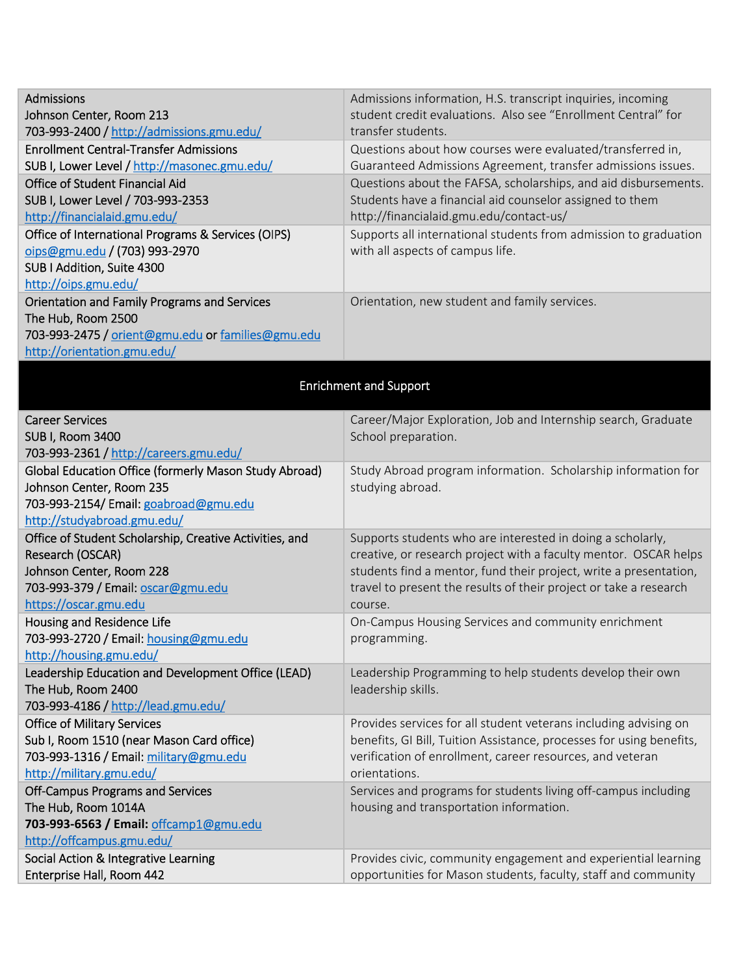| <b>Admissions</b><br>Johnson Center, Room 213                                   | Admissions information, H.S. transcript inquiries, incoming<br>student credit evaluations. Also see "Enrollment Central" for             |  |
|---------------------------------------------------------------------------------|------------------------------------------------------------------------------------------------------------------------------------------|--|
| 703-993-2400 / http://admissions.gmu.edu/                                       | transfer students.                                                                                                                       |  |
| <b>Enrollment Central-Transfer Admissions</b>                                   | Questions about how courses were evaluated/transferred in,                                                                               |  |
| SUB I, Lower Level / http://masonec.gmu.edu/                                    | Guaranteed Admissions Agreement, transfer admissions issues.                                                                             |  |
| <b>Office of Student Financial Aid</b>                                          | Questions about the FAFSA, scholarships, and aid disbursements.                                                                          |  |
| SUB I, Lower Level / 703-993-2353                                               | Students have a financial aid counselor assigned to them                                                                                 |  |
| http://financialaid.gmu.edu/                                                    | http://financialaid.gmu.edu/contact-us/                                                                                                  |  |
| Office of International Programs & Services (OIPS)                              | Supports all international students from admission to graduation                                                                         |  |
| oips@gmu.edu / (703) 993-2970                                                   | with all aspects of campus life.                                                                                                         |  |
| SUB I Addition, Suite 4300                                                      |                                                                                                                                          |  |
| http://oips.gmu.edu/                                                            |                                                                                                                                          |  |
| Orientation and Family Programs and Services                                    | Orientation, new student and family services.                                                                                            |  |
| The Hub, Room 2500                                                              |                                                                                                                                          |  |
| 703-993-2475 / orient@gmu.edu or families@gmu.edu                               |                                                                                                                                          |  |
| http://orientation.gmu.edu/                                                     |                                                                                                                                          |  |
| <b>Enrichment and Support</b>                                                   |                                                                                                                                          |  |
|                                                                                 |                                                                                                                                          |  |
| <b>Career Services</b>                                                          | Career/Major Exploration, Job and Internship search, Graduate                                                                            |  |
| SUB I, Room 3400                                                                | School preparation.                                                                                                                      |  |
| 703-993-2361 / http://careers.gmu.edu/                                          |                                                                                                                                          |  |
| Global Education Office (formerly Mason Study Abroad)                           | Study Abroad program information. Scholarship information for                                                                            |  |
| Johnson Center, Room 235                                                        | studying abroad.                                                                                                                         |  |
| 703-993-2154/ Email: goabroad@gmu.edu                                           |                                                                                                                                          |  |
| http://studyabroad.gmu.edu/                                                     |                                                                                                                                          |  |
| Office of Student Scholarship, Creative Activities, and                         | Supports students who are interested in doing a scholarly,                                                                               |  |
| Research (OSCAR)                                                                | creative, or research project with a faculty mentor. OSCAR helps                                                                         |  |
| Johnson Center, Room 228                                                        | students find a mentor, fund their project, write a presentation,                                                                        |  |
| 703-993-379 / Email: oscar@gmu.edu                                              | travel to present the results of their project or take a research                                                                        |  |
| https://oscar.gmu.edu                                                           | course.                                                                                                                                  |  |
| Housing and Residence Life                                                      | On-Campus Housing Services and community enrichment                                                                                      |  |
| 703-993-2720 / Email: housing@gmu.edu                                           | programming.                                                                                                                             |  |
| http://housing.gmu.edu/                                                         |                                                                                                                                          |  |
| Leadership Education and Development Office (LEAD)                              | Leadership Programming to help students develop their own                                                                                |  |
| The Hub, Room 2400                                                              | leadership skills.                                                                                                                       |  |
| 703-993-4186 / http://lead.gmu.edu/                                             |                                                                                                                                          |  |
| <b>Office of Military Services</b><br>Sub I, Room 1510 (near Mason Card office) | Provides services for all student veterans including advising on<br>benefits, GI Bill, Tuition Assistance, processes for using benefits, |  |
|                                                                                 | verification of enrollment, career resources, and veteran                                                                                |  |
| 703-993-1316 / Email: military@gmu.edu<br>http://military.gmu.edu/              | orientations.                                                                                                                            |  |
|                                                                                 | Services and programs for students living off-campus including                                                                           |  |
| <b>Off-Campus Programs and Services</b><br>The Hub, Room 1014A                  | housing and transportation information.                                                                                                  |  |
| 703-993-6563 / Email: offcamp1@gmu.edu                                          |                                                                                                                                          |  |
| http://offcampus.gmu.edu/                                                       |                                                                                                                                          |  |
| Social Action & Integrative Learning                                            | Provides civic, community engagement and experiential learning                                                                           |  |
| Enterprise Hall, Room 442                                                       | opportunities for Mason students, faculty, staff and community                                                                           |  |
|                                                                                 |                                                                                                                                          |  |